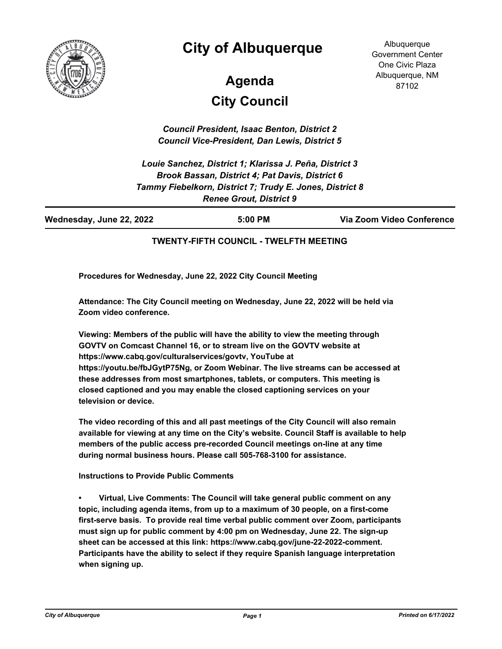

# **City of Albuquerque**

**Albuquerque** Government Center One Civic Plaza Albuquerque, NM 87102

# **City Council Agenda**

*Council President, Isaac Benton, District 2 Council Vice-President, Dan Lewis, District 5*

*Louie Sanchez, District 1; Klarissa J. Peña, District 3 Brook Bassan, District 4; Pat Davis, District 6 Tammy Fiebelkorn, District 7; Trudy E. Jones, District 8 Renee Grout, District 9*

| Wednesday, June 22, 2022 | 5:00 PM | Via Zoom Video Conference |
|--------------------------|---------|---------------------------|
|                          |         |                           |

#### **TWENTY-FIFTH COUNCIL - TWELFTH MEETING**

**Procedures for Wednesday, June 22, 2022 City Council Meeting**

**Attendance: The City Council meeting on Wednesday, June 22, 2022 will be held via Zoom video conference.**

**Viewing: Members of the public will have the ability to view the meeting through GOVTV on Comcast Channel 16, or to stream live on the GOVTV website at https://www.cabq.gov/culturalservices/govtv, YouTube at https://youtu.be/fbJGytP75Ng, or Zoom Webinar. The live streams can be accessed at these addresses from most smartphones, tablets, or computers. This meeting is closed captioned and you may enable the closed captioning services on your television or device.**

**The video recording of this and all past meetings of the City Council will also remain available for viewing at any time on the City's website. Council Staff is available to help members of the public access pre-recorded Council meetings on-line at any time during normal business hours. Please call 505-768-3100 for assistance.**

**Instructions to Provide Public Comments**

**• Virtual, Live Comments: The Council will take general public comment on any topic, including agenda items, from up to a maximum of 30 people, on a first-come first-serve basis. To provide real time verbal public comment over Zoom, participants must sign up for public comment by 4:00 pm on Wednesday, June 22. The sign-up sheet can be accessed at this link: https://www.cabq.gov/june-22-2022-comment. Participants have the ability to select if they require Spanish language interpretation when signing up.**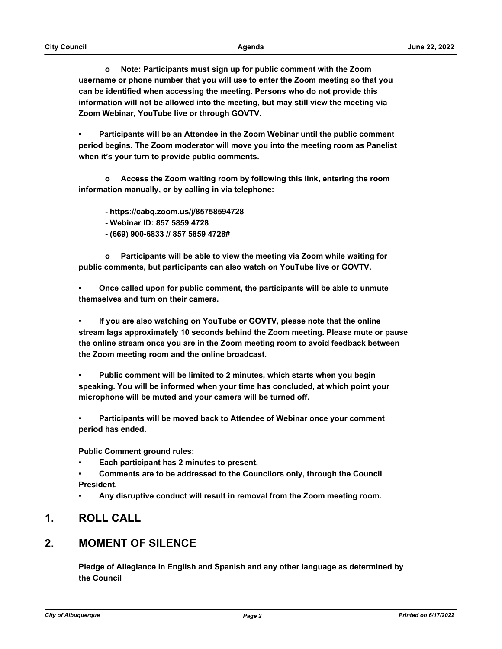**o Note: Participants must sign up for public comment with the Zoom username or phone number that you will use to enter the Zoom meeting so that you can be identified when accessing the meeting. Persons who do not provide this information will not be allowed into the meeting, but may still view the meeting via Zoom Webinar, YouTube live or through GOVTV.**

**• Participants will be an Attendee in the Zoom Webinar until the public comment period begins. The Zoom moderator will move you into the meeting room as Panelist when it's your turn to provide public comments.** 

 **o Access the Zoom waiting room by following this link, entering the room information manually, or by calling in via telephone:** 

 **- https://cabq.zoom.us/j/85758594728** 

 **- Webinar ID: 857 5859 4728**

 **- (669) 900-6833 // 857 5859 4728#**

 **o Participants will be able to view the meeting via Zoom while waiting for public comments, but participants can also watch on YouTube live or GOVTV.**

**• Once called upon for public comment, the participants will be able to unmute themselves and turn on their camera.**

**• If you are also watching on YouTube or GOVTV, please note that the online stream lags approximately 10 seconds behind the Zoom meeting. Please mute or pause the online stream once you are in the Zoom meeting room to avoid feedback between the Zoom meeting room and the online broadcast.**

**• Public comment will be limited to 2 minutes, which starts when you begin speaking. You will be informed when your time has concluded, at which point your microphone will be muted and your camera will be turned off.**

**• Participants will be moved back to Attendee of Webinar once your comment period has ended.**

**Public Comment ground rules:**

- **Each participant has 2 minutes to present.**
- **Comments are to be addressed to the Councilors only, through the Council President.**
- **Any disruptive conduct will result in removal from the Zoom meeting room.**

### **1. ROLL CALL**

### **2. MOMENT OF SILENCE**

**Pledge of Allegiance in English and Spanish and any other language as determined by the Council**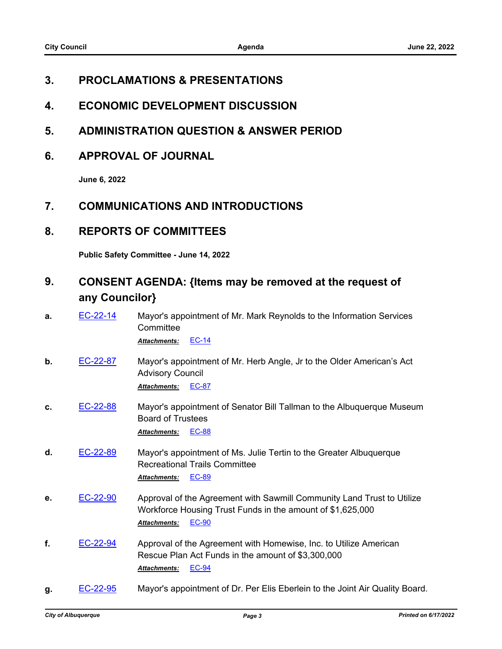### **3. PROCLAMATIONS & PRESENTATIONS**

- **4. ECONOMIC DEVELOPMENT DISCUSSION**
- **5. ADMINISTRATION QUESTION & ANSWER PERIOD**
- **6. APPROVAL OF JOURNAL**

**June 6, 2022**

### **7. COMMUNICATIONS AND INTRODUCTIONS**

### **8. REPORTS OF COMMITTEES**

**Public Safety Committee - June 14, 2022**

### **9. CONSENT AGENDA: {Items may be removed at the request of any Councilor}**

**a.** [EC-22-14](http://cabq.legistar.com/gateway.aspx?m=l&id=/matter.aspx?key=12791) Mayor's appointment of Mr. Mark Reynolds to the Information Services **Committee** 

*Attachments:* [EC-14](http://cabq.legistar.com/gateway.aspx?M=F&ID=6208e5ed-acb3-4e6d-989f-abfdc751d755.pdf)

- **b.** [EC-22-87](http://cabq.legistar.com/gateway.aspx?m=l&id=/matter.aspx?key=12944) Mayor's appointment of Mr. Herb Angle, Jr to the Older American's Act Advisory Council *Attachments:* [EC-87](http://cabq.legistar.com/gateway.aspx?M=F&ID=054bcbdd-7698-48d5-b16a-4455d7dcd33f.pdf)
- **c.** [EC-22-88](http://cabq.legistar.com/gateway.aspx?m=l&id=/matter.aspx?key=12945) Mayor's appointment of Senator Bill Tallman to the Albuquerque Museum Board of Trustees *Attachments:* [EC-88](http://cabq.legistar.com/gateway.aspx?M=F&ID=55ffd0b8-dcaa-422a-88ac-34fa26a27fc1.pdf)
- **d.** [EC-22-89](http://cabq.legistar.com/gateway.aspx?m=l&id=/matter.aspx?key=12946) Mayor's appointment of Ms. Julie Tertin to the Greater Albuquerque Recreational Trails Committee *Attachments:* [EC-89](http://cabq.legistar.com/gateway.aspx?M=F&ID=65bee028-19c9-4acd-8868-a14e339c8951.pdf)
- **e.** [EC-22-90](http://cabq.legistar.com/gateway.aspx?m=l&id=/matter.aspx?key=12947) Approval of the Agreement with Sawmill Community Land Trust to Utilize Workforce Housing Trust Funds in the amount of \$1,625,000 *Attachments:* [EC-90](http://cabq.legistar.com/gateway.aspx?M=F&ID=f9ac4e64-cecc-417a-9715-7c4bffa8652f.pdf)
- **f.** [EC-22-94](http://cabq.legistar.com/gateway.aspx?m=l&id=/matter.aspx?key=12961) Approval of the Agreement with Homewise, Inc. to Utilize American Rescue Plan Act Funds in the amount of \$3,300,000 *Attachments:* [EC-94](http://cabq.legistar.com/gateway.aspx?M=F&ID=d13e5a1a-bd88-48a9-a981-6841a6fa2b72.pdf)
- **g.** [EC-22-95](http://cabq.legistar.com/gateway.aspx?m=l&id=/matter.aspx?key=12962) Mayor's appointment of Dr. Per Elis Eberlein to the Joint Air Quality Board.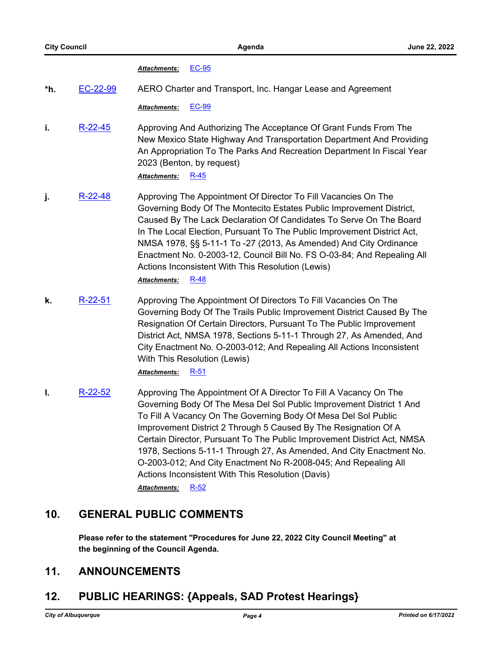#### *Attachments:* [EC-95](http://cabq.legistar.com/gateway.aspx?M=F&ID=b6c0cade-5af4-460a-ade7-bfbd74841bfa.pdf)

**\*h.** [EC-22-99](http://cabq.legistar.com/gateway.aspx?m=l&id=/matter.aspx?key=12974) AERO Charter and Transport, Inc. Hangar Lease and Agreement

*Attachments:* [EC-99](http://cabq.legistar.com/gateway.aspx?M=F&ID=78f22380-1846-46fc-a5d4-3d073794c91d.pdf)

**i.** [R-22-45](http://cabq.legistar.com/gateway.aspx?m=l&id=/matter.aspx?key=12955) Approving And Authorizing The Acceptance Of Grant Funds From The New Mexico State Highway And Transportation Department And Providing An Appropriation To The Parks And Recreation Department In Fiscal Year 2023 (Benton, by request)

*Attachments:* [R-45](http://cabq.legistar.com/gateway.aspx?M=F&ID=4e22edef-a255-472f-a5be-1b1e68cb598e.pdf)

- **j.** [R-22-48](http://cabq.legistar.com/gateway.aspx?m=l&id=/matter.aspx?key=12958) Approving The Appointment Of Director To Fill Vacancies On The Governing Body Of The Montecito Estates Public Improvement District, Caused By The Lack Declaration Of Candidates To Serve On The Board In The Local Election, Pursuant To The Public Improvement District Act, NMSA 1978, §§ 5-11-1 To -27 (2013, As Amended) And City Ordinance Enactment No. 0-2003-12, Council Bill No. FS O-03-84; And Repealing All Actions Inconsistent With This Resolution (Lewis) *Attachments:* [R-48](http://cabq.legistar.com/gateway.aspx?M=F&ID=d138b053-5fcc-456e-8482-1f9a7559a946.pdf)
- **k.** [R-22-51](http://cabq.legistar.com/gateway.aspx?m=l&id=/matter.aspx?key=12967) Approving The Appointment Of Directors To Fill Vacancies On The Governing Body Of The Trails Public Improvement District Caused By The Resignation Of Certain Directors, Pursuant To The Public Improvement District Act, NMSA 1978, Sections 5-11-1 Through 27, As Amended, And City Enactment No. O-2003-012; And Repealing All Actions Inconsistent With This Resolution (Lewis)

*Attachments:* [R-51](http://cabq.legistar.com/gateway.aspx?M=F&ID=2b0339da-178c-49a9-966e-79f4cf28b7d0.pdf)

**l.** [R-22-52](http://cabq.legistar.com/gateway.aspx?m=l&id=/matter.aspx?key=12968) Approving The Appointment Of A Director To Fill A Vacancy On The Governing Body Of The Mesa Del Sol Public Improvement District 1 And To Fill A Vacancy On The Governing Body Of Mesa Del Sol Public Improvement District 2 Through 5 Caused By The Resignation Of A Certain Director, Pursuant To The Public Improvement District Act, NMSA 1978, Sections 5-11-1 Through 27, As Amended, And City Enactment No. O-2003-012; And City Enactment No R-2008-045; And Repealing All Actions Inconsistent With This Resolution (Davis) *Attachments:* [R-52](http://cabq.legistar.com/gateway.aspx?M=F&ID=f476d983-ebd7-4eaf-9e2f-f123b05f716d.pdf)

### **10. GENERAL PUBLIC COMMENTS**

**Please refer to the statement "Procedures for June 22, 2022 City Council Meeting" at the beginning of the Council Agenda.**

### **11. ANNOUNCEMENTS**

### **12. PUBLIC HEARINGS: {Appeals, SAD Protest Hearings}**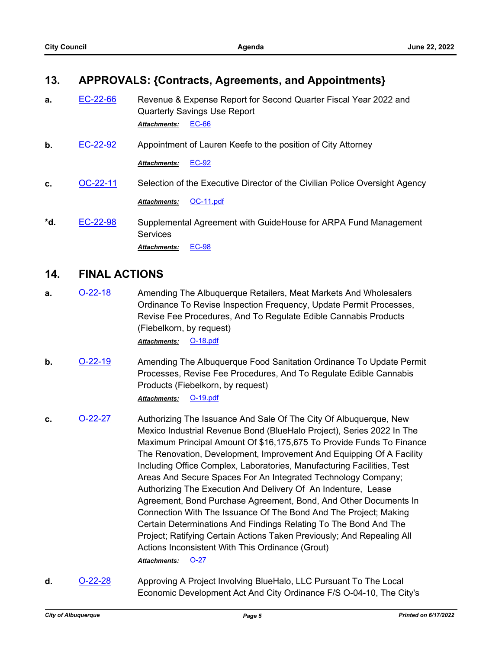### **13. APPROVALS: {Contracts, Agreements, and Appointments}**

- **a.** [EC-22-66](http://cabq.legistar.com/gateway.aspx?m=l&id=/matter.aspx?key=12893) Revenue & Expense Report for Second Quarter Fiscal Year 2022 and Quarterly Savings Use Report *Attachments:* [EC-66](http://cabq.legistar.com/gateway.aspx?M=F&ID=ef24c30d-22de-436a-a073-26c82a9f52ad.pdf)
- **b.** [EC-22-92](http://cabq.legistar.com/gateway.aspx?m=l&id=/matter.aspx?key=12954) Appointment of Lauren Keefe to the position of City Attorney

*Attachments:* [EC-92](http://cabq.legistar.com/gateway.aspx?M=F&ID=3503817e-8313-415b-aa3e-74bdd05a092c.pdf)

**c.** [OC-22-11](http://cabq.legistar.com/gateway.aspx?m=l&id=/matter.aspx?key=12966) Selection of the Executive Director of the Civilian Police Oversight Agency

*Attachments:* [OC-11.pdf](http://cabq.legistar.com/gateway.aspx?M=F&ID=88c2e463-5eee-413c-9280-e25cd4fb2984.pdf)

**\*d.** [EC-22-98](http://cabq.legistar.com/gateway.aspx?m=l&id=/matter.aspx?key=12973) Supplemental Agreement with GuideHouse for ARPA Fund Management **Services** *Attachments:* [EC-98](http://cabq.legistar.com/gateway.aspx?M=F&ID=d4ac2e24-8685-4108-8adf-1ee944418f57.pdf)

### **14. FINAL ACTIONS**

- **a. [O-22-18](http://cabq.legistar.com/gateway.aspx?m=l&id=/matter.aspx?key=12881)** Amending The Albuquerque Retailers, Meat Markets And Wholesalers Ordinance To Revise Inspection Frequency, Update Permit Processes, Revise Fee Procedures, And To Regulate Edible Cannabis Products (Fiebelkorn, by request) *Attachments:* [O-18.pdf](http://cabq.legistar.com/gateway.aspx?M=F&ID=83d7247f-34fc-4d0a-8fdb-791e03bfa747.pdf)
- **b. [O-22-19](http://cabq.legistar.com/gateway.aspx?m=l&id=/matter.aspx?key=12882)** Amending The Albuquerque Food Sanitation Ordinance To Update Permit Processes, Revise Fee Procedures, And To Regulate Edible Cannabis Products (Fiebelkorn, by request) *Attachments:* [O-19.pdf](http://cabq.legistar.com/gateway.aspx?M=F&ID=317091a1-36cb-41d6-9bd7-18fe0987bdbb.pdf)
- **c. [O-22-27](http://cabq.legistar.com/gateway.aspx?m=l&id=/matter.aspx?key=12949)** Authorizing The Issuance And Sale Of The City Of Albuquerque, New Mexico Industrial Revenue Bond (BlueHalo Project), Series 2022 In The Maximum Principal Amount Of \$16,175,675 To Provide Funds To Finance The Renovation, Development, Improvement And Equipping Of A Facility Including Office Complex, Laboratories, Manufacturing Facilities, Test Areas And Secure Spaces For An Integrated Technology Company; Authorizing The Execution And Delivery Of An Indenture, Lease Agreement, Bond Purchase Agreement, Bond, And Other Documents In Connection With The Issuance Of The Bond And The Project; Making Certain Determinations And Findings Relating To The Bond And The Project; Ratifying Certain Actions Taken Previously; And Repealing All Actions Inconsistent With This Ordinance (Grout) *Attachments:* [O-27](http://cabq.legistar.com/gateway.aspx?M=F&ID=afff0ff5-9676-4205-abdf-9401b2beafc0.pdf)
- **d. [O-22-28](http://cabq.legistar.com/gateway.aspx?m=l&id=/matter.aspx?key=12950)** Approving A Project Involving BlueHalo, LLC Pursuant To The Local Economic Development Act And City Ordinance F/S O-04-10, The City's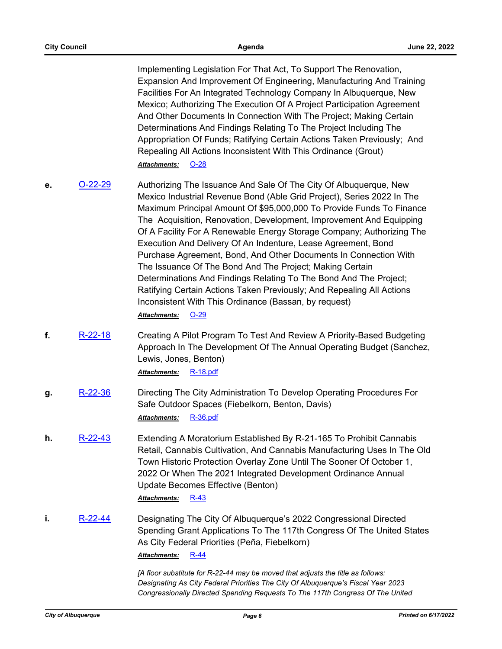| <b>City Council</b> |           | Agenda                                                                                                                                                                                                                                                                                                                                                                                                                                                                                                                                                                                                                                                                                                                                                                                                       | June 22, 2022 |
|---------------------|-----------|--------------------------------------------------------------------------------------------------------------------------------------------------------------------------------------------------------------------------------------------------------------------------------------------------------------------------------------------------------------------------------------------------------------------------------------------------------------------------------------------------------------------------------------------------------------------------------------------------------------------------------------------------------------------------------------------------------------------------------------------------------------------------------------------------------------|---------------|
|                     |           | Implementing Legislation For That Act, To Support The Renovation,<br>Expansion And Improvement Of Engineering, Manufacturing And Training<br>Facilities For An Integrated Technology Company In Albuquerque, New<br>Mexico; Authorizing The Execution Of A Project Participation Agreement<br>And Other Documents In Connection With The Project; Making Certain<br>Determinations And Findings Relating To The Project Including The<br>Appropriation Of Funds; Ratifying Certain Actions Taken Previously; And<br>Repealing All Actions Inconsistent With This Ordinance (Grout)<br>$O-28$<br>Attachments:                                                                                                                                                                                                 |               |
| е.                  | $O-22-29$ | Authorizing The Issuance And Sale Of The City Of Albuquerque, New<br>Mexico Industrial Revenue Bond (Able Grid Project), Series 2022 In The<br>Maximum Principal Amount Of \$95,000,000 To Provide Funds To Finance<br>The Acquisition, Renovation, Development, Improvement And Equipping<br>Of A Facility For A Renewable Energy Storage Company; Authorizing The<br>Execution And Delivery Of An Indenture, Lease Agreement, Bond<br>Purchase Agreement, Bond, And Other Documents In Connection With<br>The Issuance Of The Bond And The Project; Making Certain<br>Determinations And Findings Relating To The Bond And The Project;<br>Ratifying Certain Actions Taken Previously; And Repealing All Actions<br>Inconsistent With This Ordinance (Bassan, by request)<br><b>Attachments:</b><br>$O-29$ |               |
| f.                  | $R-22-18$ | Creating A Pilot Program To Test And Review A Priority-Based Budgeting<br>Approach In The Development Of The Annual Operating Budget (Sanchez,<br>Lewis, Jones, Benton)<br><b>R-18.pdf</b><br>Attachments:                                                                                                                                                                                                                                                                                                                                                                                                                                                                                                                                                                                                   |               |
| g.                  | R-22-36   | Directing The City Administration To Develop Operating Procedures For<br>Safe Outdoor Spaces (Fiebelkorn, Benton, Davis)<br>$R-36.pdf$<br><b>Attachments:</b>                                                                                                                                                                                                                                                                                                                                                                                                                                                                                                                                                                                                                                                |               |
| h.                  | $R-22-43$ | Extending A Moratorium Established By R-21-165 To Prohibit Cannabis<br>Retail, Cannabis Cultivation, And Cannabis Manufacturing Uses In The Old<br>Town Historic Protection Overlay Zone Until The Sooner Of October 1,<br>2022 Or When The 2021 Integrated Development Ordinance Annual<br>Update Becomes Effective (Benton)<br><b>Attachments:</b><br>$R-43$                                                                                                                                                                                                                                                                                                                                                                                                                                               |               |
| i.                  | $R-22-44$ | Designating The City Of Albuquerque's 2022 Congressional Directed<br>Spending Grant Applications To The 117th Congress Of The United States<br>As City Federal Priorities (Peña, Fiebelkorn)<br>$R-44$<br>Attachments:<br>[A floor substitute for R-22-44 may be moved that adjusts the title as follows:<br>$\bigcap$ $\bigcap$ $\bigcap$                                                                                                                                                                                                                                                                                                                                                                                                                                                                   | 0.000         |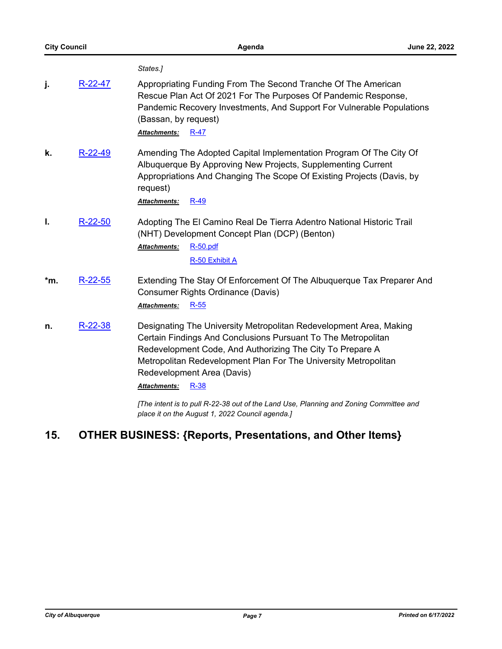|     |           | States.]                                                                                                                                                                                                                                                                                                                                                                                                                                                                |
|-----|-----------|-------------------------------------------------------------------------------------------------------------------------------------------------------------------------------------------------------------------------------------------------------------------------------------------------------------------------------------------------------------------------------------------------------------------------------------------------------------------------|
| j.  | R-22-47   | Appropriating Funding From The Second Tranche Of The American<br>Rescue Plan Act Of 2021 For The Purposes Of Pandemic Response,<br>Pandemic Recovery Investments, And Support For Vulnerable Populations<br>(Bassan, by request)<br>$R-47$<br>Attachments:                                                                                                                                                                                                              |
| k.  | $R-22-49$ | Amending The Adopted Capital Implementation Program Of The City Of<br>Albuquerque By Approving New Projects, Supplementing Current<br>Appropriations And Changing The Scope Of Existing Projects (Davis, by<br>request)<br>$R-49$<br>Attachments:                                                                                                                                                                                                                       |
| Ι.  | $R-22-50$ | Adopting The El Camino Real De Tierra Adentro National Historic Trail<br>(NHT) Development Concept Plan (DCP) (Benton)<br><b>R-50.pdf</b><br>Attachments:<br>R-50 Exhibit A                                                                                                                                                                                                                                                                                             |
| *m. | $R-22-55$ | Extending The Stay Of Enforcement Of The Albuquerque Tax Preparer And<br>Consumer Rights Ordinance (Davis)<br>$R-55$<br><b>Attachments:</b>                                                                                                                                                                                                                                                                                                                             |
| n.  | $R-22-38$ | Designating The University Metropolitan Redevelopment Area, Making<br>Certain Findings And Conclusions Pursuant To The Metropolitan<br>Redevelopment Code, And Authorizing The City To Prepare A<br>Metropolitan Redevelopment Plan For The University Metropolitan<br>Redevelopment Area (Davis)<br>$R-38$<br>Attachments:<br>[The intent is to pull R-22-38 out of the Land Use, Planning and Zoning Committee and<br>place it on the August 1, 2022 Council agenda.] |

## **15. OTHER BUSINESS: {Reports, Presentations, and Other Items}**